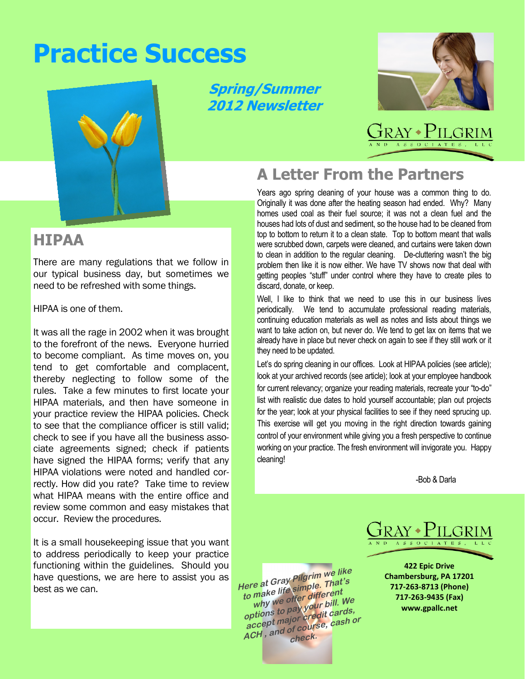# **Practice Success**



**Spring/Summer 2012 Newsletter** 



# Fray • Pilgr

## Years ago spring cleaning of your house was a common thing to do.

**A Letter From the Partners**

Originally it was done after the heating season had ended. Why? Many homes used coal as their fuel source; it was not a clean fuel and the houses had lots of dust and sediment, so the house had to be cleaned from top to bottom to return it to a clean state. Top to bottom meant that walls were scrubbed down, carpets were cleaned, and curtains were taken down to clean in addition to the regular cleaning. De-cluttering wasn't the big problem then like it is now either. We have TV shows now that deal with getting peoples "stuff" under control where they have to create piles to discard, donate, or keep.

Well, I like to think that we need to use this in our business lives periodically. We tend to accumulate professional reading materials, continuing education materials as well as notes and lists about things we want to take action on, but never do. We tend to get lax on items that we already have in place but never check on again to see if they still work or it they need to be updated.

Let's do spring cleaning in our offices. Look at HIPAA policies (see article); look at your archived records (see article); look at your employee handbook for current relevancy; organize your reading materials, recreate your "to-do" list with realistic due dates to hold yourself accountable; plan out projects for the year; look at your physical facilities to see if they need sprucing up. This exercise will get you moving in the right direction towards gaining control of your environment while giving you a fresh perspective to continue working on your practice. The fresh environment will invigorate you. Happy cleaning!

-Bob & Darla

**422 Epic Drive Chambersburg, PA 17201 717-263-8713 (Phone) 717-263-9435 (Fax) www.gpallc.net** 

### **HIPAA**

There are many regulations that we follow in our typical business day, but sometimes we need to be refreshed with some things.

HIPAA is one of them.

It was all the rage in 2002 when it was brought to the forefront of the news. Everyone hurried to become compliant. As time moves on, you tend to get comfortable and complacent, thereby neglecting to follow some of the rules. Take a few minutes to first locate your HIPAA materials, and then have someone in your practice review the HIPAA policies. Check to see that the compliance officer is still valid; check to see if you have all the business associate agreements signed; check if patients have signed the HIPAA forms; verify that any HIPAA violations were noted and handled correctly. How did you rate? Take time to review what HIPAA means with the entire office and review some common and easy mistakes that occur. Review the procedures.

It is a small housekeeping issue that you want to address periodically to keep your practice functioning within the guidelines. Should you have questions, we are here to assist you as best as we can.

**Here at Gray Pilgrim we like to make life simple. That's why we offer different options to pay your bill. We accept major credit cards, ACCEPT major of course, cash or**<br>**ACH**, and of course, cash or